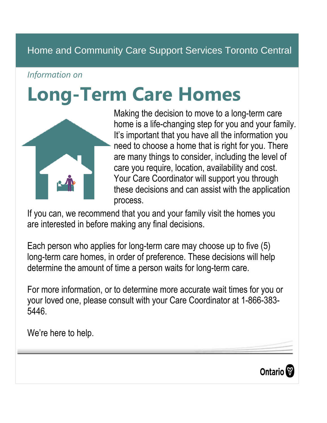# Home and Community Care Support Services Toronto Central

#### *Information on*

# **Long-Term Care Homes**



Making the decision to move to a long-term care home is a life-changing step for you and your family. It's important that you have all the information you need to choose a home that is right for you. There are many things to consider, including the level of care you require, location, availability and cost. Your Care Coordinator will support you through these decisions and can assist with the application process.

If you can, we recommend that you and your family visit the homes you are interested in before making any final decisions.

Each person who applies for long-term care may choose up to five (5) long-term care homes, in order of preference. These decisions will help determine the amount of time a person waits for long-term care.

For more information, or to determine more accurate wait times for you or your loved one, please consult with your Care Coordinator at 1-866-383- 5446.

We're here to help.

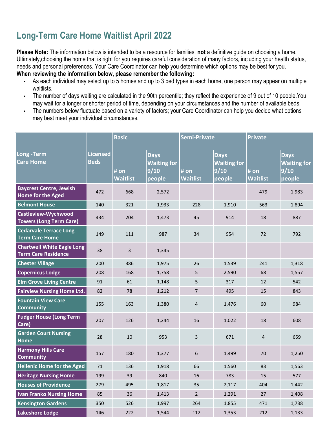### **Long-Term Care Home Waitlist April 2022**

**Please Note:** The information below is intended to be a resource for families, **not** a definitive guide on choosing a home. Ultimately,choosing the home that is right for you requires careful consideration of many factors, including your health status, needs and personal preferences. Your Care Coordinator can help you determine which options may be best for you.

**When reviewing the information below, please remember the following:**

- As each individual may select up to 5 homes and up to 3 bed types in each home, one person may appear on multiple waitlists.
- The number of days waiting are calculated in the 90th percentile; they reflect the experience of 9 out of 10 people.You may wait for a longer or shorter period of time, depending on your circumstances and the number of available beds.
- The numbers below fluctuate based on a variety of factors; your Care Coordinator can help you decide what options may best meet your individual circumstances.

|                                                                 |                                | <b>Basic</b>     |                                                     | Semi-Private            |                                                     | Private                 |                                                     |
|-----------------------------------------------------------------|--------------------------------|------------------|-----------------------------------------------------|-------------------------|-----------------------------------------------------|-------------------------|-----------------------------------------------------|
| Long - Term<br><b>Care Home</b>                                 | <b>Licensed</b><br><b>Beds</b> | # on<br>Waitlist | <b>Days</b><br><b>Waiting for</b><br>9/10<br>people | # on<br><b>Waitlist</b> | <b>Days</b><br><b>Waiting for</b><br>9/10<br>people | # on<br><b>Waitlist</b> | <b>Days</b><br><b>Waiting for</b><br>9/10<br>people |
| <b>Baycrest Centre, Jewish</b><br><b>Home for the Aged</b>      | 472                            | 668              | 2,572                                               |                         |                                                     | 479                     | 1,983                                               |
| <b>Belmont House</b>                                            | 140                            | 321              | 1,933                                               | 228                     | 1,910                                               | 563                     | 1,894                                               |
| <b>Castleview-Wychwood</b><br><b>Towers (Long Term Care)</b>    | 434                            | 204              | 1,473                                               | 45                      | 914                                                 | 18                      | 887                                                 |
| <b>Cedarvale Terrace Long</b><br><b>Term Care Home</b>          | 149                            | 111              | 987                                                 | 34                      | 954                                                 | 72                      | 792                                                 |
| <b>Chartwell White Eagle Long</b><br><b>Term Care Residence</b> | 38                             | $\overline{3}$   | 1,345                                               |                         |                                                     |                         |                                                     |
| <b>Chester Village</b>                                          | 200                            | 386              | 1,975                                               | 26                      | 1,539                                               | 241                     | 1,318                                               |
| <b>Copernicus Lodge</b>                                         | 208                            | 168              | 1,758                                               | 5                       | 2,590                                               | 68                      | 1,557                                               |
| <b>Elm Grove Living Centre</b>                                  | 91                             | 61               | 1,148                                               | 5                       | 317                                                 | 12                      | 542                                                 |
| <b>Fairview Nursing Home Ltd.</b>                               | 82                             | 78               | 1,212                                               | $\overline{7}$          | 495                                                 | 15                      | 843                                                 |
| <b>Fountain View Care</b><br><b>Community</b>                   | 155                            | 163              | 1,380                                               | $\overline{4}$          | 1,476                                               | 60                      | 984                                                 |
| <b>Fudger House (Long Term</b><br>Care)                         | 207                            | 126              | 1,244                                               | 16                      | 1,022                                               | 18                      | 608                                                 |
| <b>Garden Court Nursing</b><br><b>Home</b>                      | 28                             | 10               | 953                                                 | 3                       | 671                                                 | 4                       | 659                                                 |
| <b>Harmony Hills Care</b><br><b>Community</b>                   | 157                            | 180              | 1,377                                               | 6                       | 1,499                                               | 70                      | 1,250                                               |
| <b>Hellenic Home for the Aged</b>                               | 71                             | 136              | 1,918                                               | 66                      | 1,560                                               | 83                      | 1,563                                               |
| <b>Heritage Nursing Home</b>                                    | 199                            | 39               | 840                                                 | 16                      | 783                                                 | 15                      | 577                                                 |
| <b>Houses of Providence</b>                                     | 279                            | 495              | 1,817                                               | 35                      | 2,117                                               | 404                     | 1,442                                               |
| <b>Ivan Franko Nursing Home</b>                                 | 85                             | 36               | 1,413                                               | $\overline{2}$          | 1,291                                               | 27                      | 1,408                                               |
| <b>Kensington Gardens</b>                                       | 350                            | 526              | 1,997                                               | 264                     | 1,855                                               | 471                     | 1,738                                               |
| <b>Lakeshore Lodge</b>                                          | 146                            | 222              | 1,544                                               | 112                     | 1,353                                               | 212                     | 1,133                                               |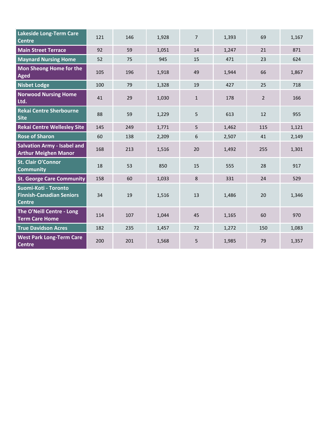| <b>Lakeside Long-Term Care</b><br><b>Centre</b>                          | 121 | 146 | 1,928 | $\overline{7}$ | 1,393 | 69             | 1,167 |
|--------------------------------------------------------------------------|-----|-----|-------|----------------|-------|----------------|-------|
| <b>Main Street Terrace</b>                                               | 92  | 59  | 1,051 | 14             | 1,247 | 21             | 871   |
| <b>Maynard Nursing Home</b>                                              | 52  | 75  | 945   | 15             | 471   | 23             | 624   |
| Mon Sheong Home for the<br>Aged                                          | 105 | 196 | 1,918 | 49             | 1,944 | 66             | 1,867 |
| <b>Nisbet Lodge</b>                                                      | 100 | 79  | 1,328 | 19             | 427   | 25             | 718   |
| <b>Norwood Nursing Home</b><br>Ltd.                                      | 41  | 29  | 1,030 | $\mathbf{1}$   | 178   | $\overline{2}$ | 166   |
| <b>Rekai Centre Sherbourne</b><br><b>Site</b>                            | 88  | 59  | 1,229 | 5              | 613   | 12             | 955   |
| <b>Rekai Centre Wellesley Site</b>                                       | 145 | 249 | 1,771 | 5              | 1,462 | 115            | 1,121 |
| <b>Rose of Sharon</b>                                                    | 60  | 138 | 2,209 | 6              | 2,507 | 41             | 2,149 |
| <b>Salvation Army - Isabel and</b><br><b>Arthur Meighen Manor</b>        | 168 | 213 | 1,516 | 20             | 1,492 | 255            | 1,301 |
| St. Clair O'Connor<br><b>Community</b>                                   | 18  | 53  | 850   | 15             | 555   | 28             | 917   |
| <b>St. George Care Community</b>                                         | 158 | 60  | 1,033 | 8              | 331   | 24             | 529   |
| Suomi-Koti - Toronto<br><b>Finnish-Canadian Seniors</b><br><b>Centre</b> | 34  | 19  | 1,516 | 13             | 1,486 | 20             | 1,346 |
| The O'Neill Centre - Long<br><b>Term Care Home</b>                       | 114 | 107 | 1,044 | 45             | 1,165 | 60             | 970   |
| <b>True Davidson Acres</b>                                               | 182 | 235 | 1,457 | 72             | 1,272 | 150            | 1,083 |
| <b>West Park Long-Term Care</b><br><b>Centre</b>                         | 200 | 201 | 1,568 | 5              | 1,985 | 79             | 1,357 |